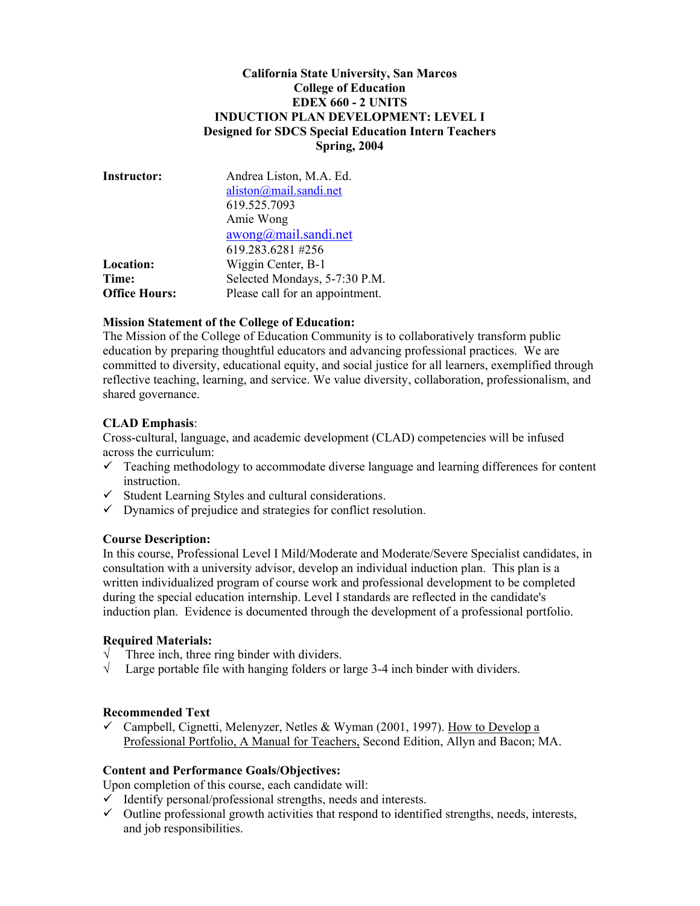## **California State University, San Marcos College of Education EDEX 660 - 2 UNITS INDUCTION PLAN DEVELOPMENT: LEVEL I Designed for SDCS Special Education Intern Teachers Spring, 2004**

| <b>Instructor:</b>   | Andrea Liston, M.A. Ed.<br>aliston@mail.sandi.net<br>619.525.7093 |  |
|----------------------|-------------------------------------------------------------------|--|
|                      | Amie Wong                                                         |  |
|                      | awong@mail.sandi.net<br>619.283.6281#256                          |  |
| Location:<br>Time:   | Wiggin Center, B-1<br>Selected Mondays, 5-7:30 P.M.               |  |
| <b>Office Hours:</b> | Please call for an appointment.                                   |  |

### **Mission Statement of the College of Education:**

The Mission of the College of Education Community is to collaboratively transform public education by preparing thoughtful educators and advancing professional practices. We are committed to diversity, educational equity, and social justice for all learners, exemplified through reflective teaching, learning, and service. We value diversity, collaboration, professionalism, and shared governance.

### **CLAD Emphasis**:

Cross-cultural, language, and academic development (CLAD) competencies will be infused across the curriculum:

- $\checkmark$  Teaching methodology to accommodate diverse language and learning differences for content instruction.
- $\checkmark$  Student Learning Styles and cultural considerations.
- $\checkmark$  Dynamics of prejudice and strategies for conflict resolution.

#### **Course Description:**

In this course, Professional Level I Mild/Moderate and Moderate/Severe Specialist candidates, in consultation with a university advisor, develop an individual induction plan. This plan is a written individualized program of course work and professional development to be completed during the special education internship. Level I standards are reflected in the candidate's induction plan. Evidence is documented through the development of a professional portfolio.

#### **Required Materials:**

- $\sqrt{\phantom{a}}$  Three inch, three ring binder with dividers.
- $\sqrt{\phantom{a}}$  Large portable file with hanging folders or large 3-4 inch binder with dividers.

#### **Recommended Text**

 $\checkmark$  Campbell, Cignetti, Melenyzer, Netles & Wyman (2001, 1997). How to Develop a Professional Portfolio, A Manual for Teachers, Second Edition, Allyn and Bacon; MA.

### **Content and Performance Goals/Objectives:**

Upon completion of this course, each candidate will:

- $\checkmark$  Identify personal/professional strengths, needs and interests.
- $\checkmark$  Outline professional growth activities that respond to identified strengths, needs, interests, and job responsibilities.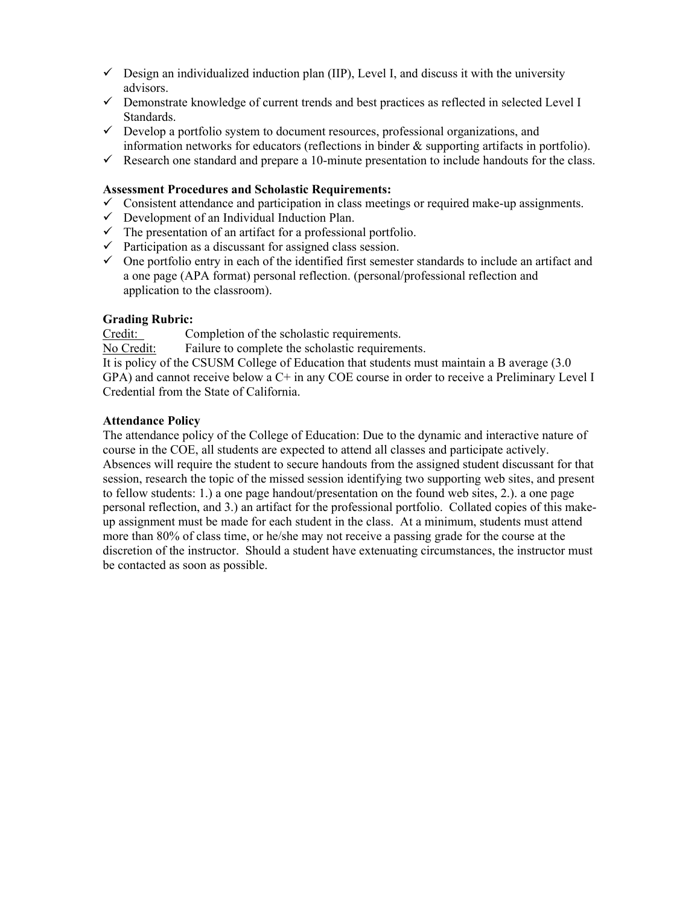- $\checkmark$  Design an individualized induction plan (IIP), Level I, and discuss it with the university advisors.
- $\checkmark$  Demonstrate knowledge of current trends and best practices as reflected in selected Level I Standards.
- $\checkmark$  Develop a portfolio system to document resources, professional organizations, and information networks for educators (reflections in binder & supporting artifacts in portfolio).
- $\checkmark$  Research one standard and prepare a 10-minute presentation to include handouts for the class.

### **Assessment Procedures and Scholastic Requirements:**

- $\checkmark$  Consistent attendance and participation in class meetings or required make-up assignments.
- $\checkmark$  Development of an Individual Induction Plan.
- $\checkmark$  The presentation of an artifact for a professional portfolio.
- $\checkmark$  Participation as a discussant for assigned class session.
- $\checkmark$  One portfolio entry in each of the identified first semester standards to include an artifact and a one page (APA format) personal reflection. (personal/professional reflection and application to the classroom).

# **Grading Rubric:**

Credit: Completion of the scholastic requirements.

No Credit: Failure to complete the scholastic requirements.

It is policy of the CSUSM College of Education that students must maintain a B average (3.0 GPA) and cannot receive below a C+ in any COE course in order to receive a Preliminary Level I Credential from the State of California.

### **Attendance Policy**

The attendance policy of the College of Education: Due to the dynamic and interactive nature of course in the COE, all students are expected to attend all classes and participate actively. Absences will require the student to secure handouts from the assigned student discussant for that session, research the topic of the missed session identifying two supporting web sites, and present to fellow students: 1.) a one page handout/presentation on the found web sites, 2.). a one page personal reflection, and 3.) an artifact for the professional portfolio. Collated copies of this makeup assignment must be made for each student in the class. At a minimum, students must attend more than 80% of class time, or he/she may not receive a passing grade for the course at the discretion of the instructor. Should a student have extenuating circumstances, the instructor must be contacted as soon as possible.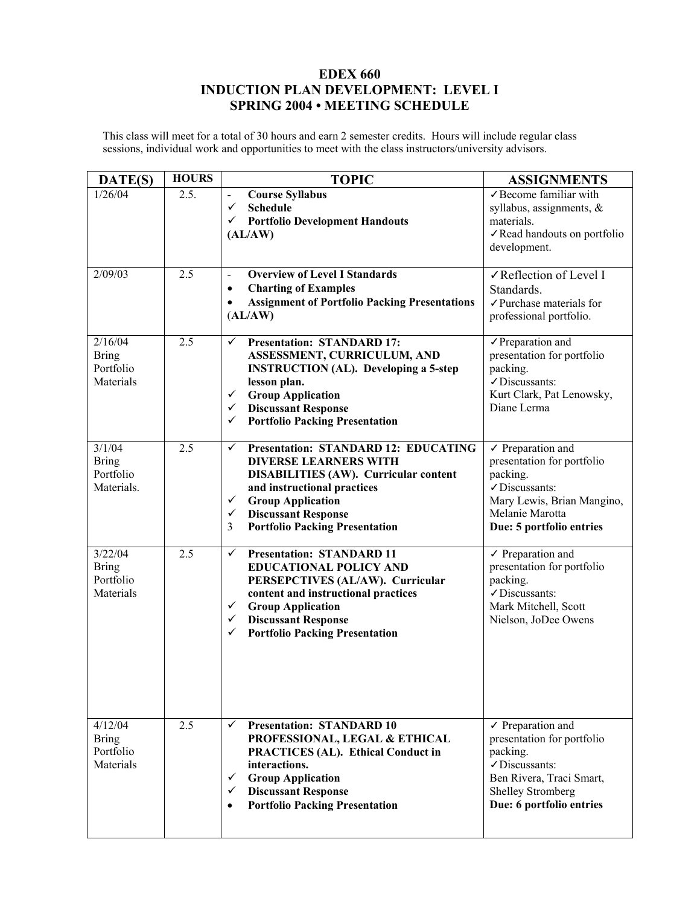# **EDEX 660 INDUCTION PLAN DEVELOPMENT: LEVEL I SPRING 2004 • MEETING SCHEDULE**

This class will meet for a total of 30 hours and earn 2 semester credits. Hours will include regular class sessions, individual work and opportunities to meet with the class instructors/university advisors.

| DATE(S)                                           | <b>HOURS</b>     | <b>TOPIC</b>                                                                                                                                                                                                                                                                                                       | <b>ASSIGNMENTS</b>                                                                                                                                                          |
|---------------------------------------------------|------------------|--------------------------------------------------------------------------------------------------------------------------------------------------------------------------------------------------------------------------------------------------------------------------------------------------------------------|-----------------------------------------------------------------------------------------------------------------------------------------------------------------------------|
| 1/26/04                                           | 2.5.             | <b>Course Syllabus</b><br>$\overline{\phantom{a}}$<br>$\checkmark$<br><b>Schedule</b><br>$\checkmark$ Portfolio Development Handouts<br>(AL/AW)                                                                                                                                                                    | $\checkmark$ Become familiar with<br>syllabus, assignments, &<br>materials.<br>✓ Read handouts on portfolio<br>development.                                                 |
| 2/09/03                                           | $\overline{2.5}$ | <b>Overview of Level I Standards</b><br>$\blacksquare$<br><b>Charting of Examples</b><br>$\bullet$<br><b>Assignment of Portfolio Packing Presentations</b><br>$\bullet$<br>(AL/AW)                                                                                                                                 | √Reflection of Level I<br>Standards.<br>$\checkmark$ Purchase materials for<br>professional portfolio.                                                                      |
| 2/16/04<br><b>Bring</b><br>Portfolio<br>Materials | 2.5              | <b>Presentation: STANDARD 17:</b><br>✓<br>ASSESSMENT, CURRICULUM, AND<br><b>INSTRUCTION</b> (AL). Developing a 5-step<br>lesson plan.<br><b>Group Application</b><br>✓<br><b>Discussant Response</b><br>$\checkmark$<br>✓<br><b>Portfolio Packing Presentation</b>                                                 | $\sqrt{}$ Preparation and<br>presentation for portfolio<br>packing.<br>√Discussants:<br>Kurt Clark, Pat Lenowsky,<br>Diane Lerma                                            |
| 3/1/04<br><b>Bring</b><br>Portfolio<br>Materials. | 2.5              | <b>Presentation: STANDARD 12: EDUCATING</b><br>$\checkmark$<br><b>DIVERSE LEARNERS WITH</b><br><b>DISABILITIES (AW). Curricular content</b><br>and instructional practices<br><b>Group Application</b><br>$\checkmark$<br><b>Discussant Response</b><br>$\checkmark$<br><b>Portfolio Packing Presentation</b><br>3 | $\checkmark$ Preparation and<br>presentation for portfolio<br>packing.<br>√Discussants:<br>Mary Lewis, Brian Mangino,<br>Melanie Marotta<br>Due: 5 portfolio entries        |
| 3/22/04<br><b>Bring</b><br>Portfolio<br>Materials | 2.5              | <b>Presentation: STANDARD 11</b><br>✓<br><b>EDUCATIONAL POLICY AND</b><br>PERSEPCTIVES (AL/AW). Curricular<br>content and instructional practices<br><b>Group Application</b><br>$\checkmark$<br>$\checkmark$ Discussant Response<br><b>Portfolio Packing Presentation</b><br>$\checkmark$                         | $\checkmark$ Preparation and<br>presentation for portfolio<br>packing.<br>√Discussants:<br>Mark Mitchell, Scott<br>Nielson, JoDee Owens                                     |
| 4/12/04<br><b>Bring</b><br>Portfolio<br>Materials | 2.5              | <b>Presentation: STANDARD 10</b><br>$\checkmark$<br>PROFESSIONAL, LEGAL & ETHICAL<br><b>PRACTICES (AL). Ethical Conduct in</b><br>interactions.<br><b>Group Application</b><br>✓<br><b>Discussant Response</b><br>✓<br><b>Portfolio Packing Presentation</b><br>$\bullet$                                          | $\checkmark$ Preparation and<br>presentation for portfolio<br>packing.<br>√Discussants:<br>Ben Rivera, Traci Smart,<br><b>Shelley Stromberg</b><br>Due: 6 portfolio entries |